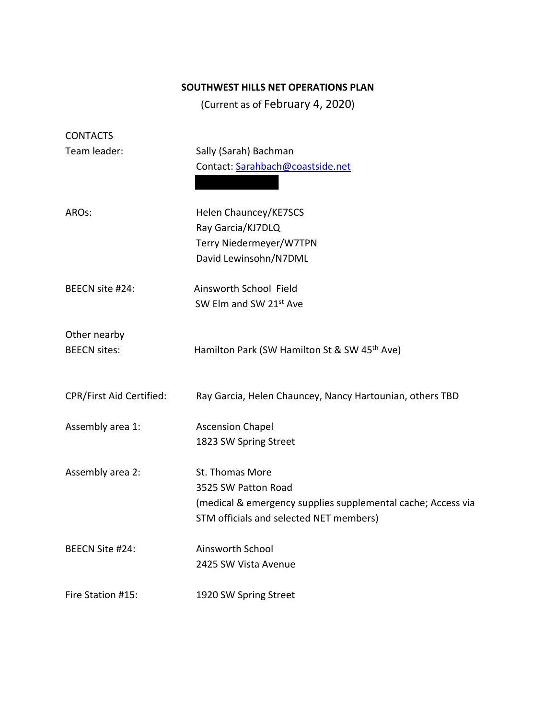# **SOUTHWEST HILLS NET OPERATIONS PLAN**

(Current as of February 4, 2020)

| <b>CONTACTS</b>          |                                                              |
|--------------------------|--------------------------------------------------------------|
| Team leader:             | Sally (Sarah) Bachman                                        |
|                          | Contact: Sarahbach@coastside.net                             |
|                          |                                                              |
| AROs:                    | Helen Chauncey/KE7SCS                                        |
|                          | Ray Garcia/KJ7DLQ                                            |
|                          | Terry Niedermeyer/W7TPN                                      |
|                          | David Lewinsohn/N7DML                                        |
| BEECN site #24:          | Ainsworth School Field                                       |
|                          | SW Elm and SW 21st Ave                                       |
|                          |                                                              |
| Other nearby             |                                                              |
| <b>BEECN sites:</b>      | Hamilton Park (SW Hamilton St & SW 45 <sup>th</sup> Ave)     |
|                          |                                                              |
| CPR/First Aid Certified: | Ray Garcia, Helen Chauncey, Nancy Hartounian, others TBD     |
|                          |                                                              |
| Assembly area 1:         | <b>Ascension Chapel</b>                                      |
|                          | 1823 SW Spring Street                                        |
| Assembly area 2:         | St. Thomas More                                              |
|                          | 3525 SW Patton Road                                          |
|                          | (medical & emergency supplies supplemental cache; Access via |
|                          | STM officials and selected NET members)                      |
| BEECN Site #24:          | Ainsworth School                                             |
|                          | 2425 SW Vista Avenue                                         |
|                          |                                                              |
| Fire Station #15:        | 1920 SW Spring Street                                        |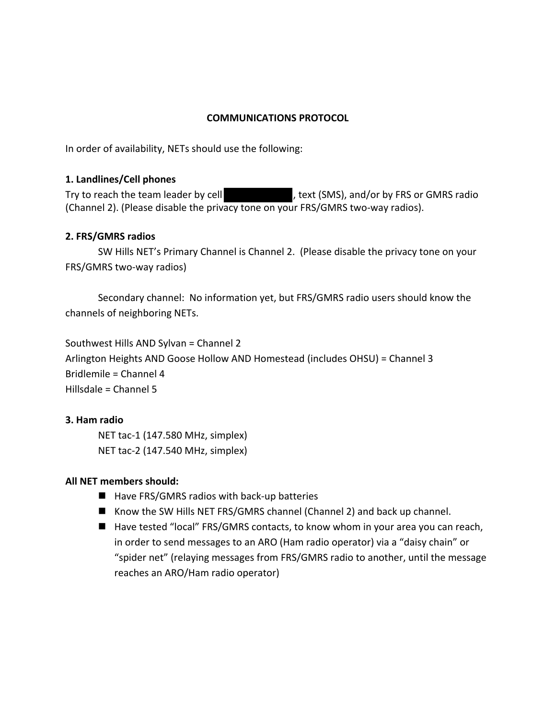## **COMMUNICATIONS PROTOCOL**

In order of availability, NETs should use the following:

#### **1. Landlines/Cell phones**

Try to reach the team leader by cell , text (SMS), and/or by FRS or GMRS radio (Channel 2). (Please disable the privacy tone on your FRS/GMRS two-way radios).

#### **2. FRS/GMRS radios**

SW Hills NET's Primary Channel is Channel 2. (Please disable the privacy tone on your FRS/GMRS two-way radios)

Secondary channel: No information yet, but FRS/GMRS radio users should know the channels of neighboring NETs.

Southwest Hills AND Sylvan = Channel 2 Arlington Heights AND Goose Hollow AND Homestead (includes OHSU) = Channel 3 Bridlemile = Channel 4 Hillsdale = Channel 5

#### **3. Ham radio**

NET tac-1 (147.580 MHz, simplex) NET tac-2 (147.540 MHz, simplex)

#### **All NET members should:**

- $\blacksquare$  Have FRS/GMRS radios with back-up batteries
- Know the SW Hills NET FRS/GMRS channel (Channel 2) and back up channel.
- Have tested "local" FRS/GMRS contacts, to know whom in your area you can reach, in order to send messages to an ARO (Ham radio operator) via a "daisy chain" or "spider net" (relaying messages from FRS/GMRS radio to another, until the message reaches an ARO/Ham radio operator)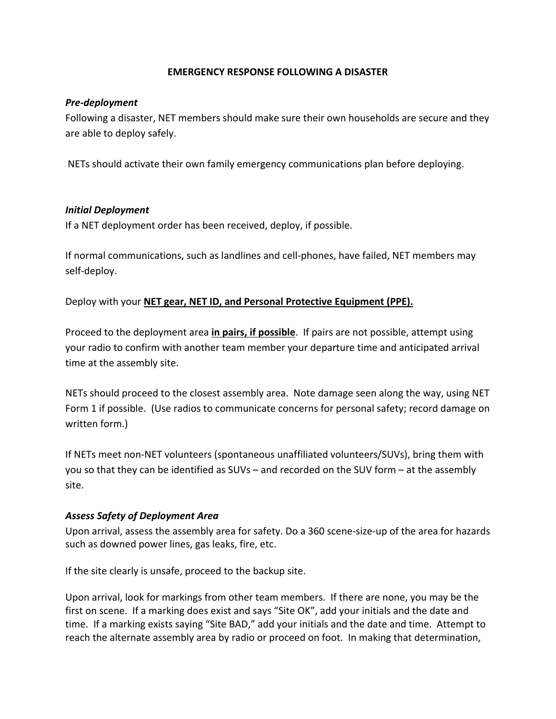## **EMERGENCY RESPONSE FOLLOWING A DISASTER**

#### *Pre-deployment*

Following a disaster, NET members should make sure their own households are secure and they are able to deploy safely.

NETs should activate their own family emergency communications plan before deploying.

#### *Initial Deployment*

If a NET deployment order has been received, deploy, if possible.

If normal communications, such as landlines and cell-phones, have failed, NET members may self-deploy.

Deploy with your **NET gear, NET ID, and Personal Protective Equipment (PPE).** 

Proceed to the deployment area **in pairs, if possible**. If pairs are not possible, attempt using your radio to confirm with another team member your departure time and anticipated arrival time at the assembly site.

NETs should proceed to the closest assembly area. Note damage seen along the way, using NET Form 1 if possible. (Use radios to communicate concerns for personal safety; record damage on written form.)

If NETs meet non-NET volunteers (spontaneous unaffiliated volunteers/SUVs), bring them with you so that they can be identified as SUVs – and recorded on the SUV form – at the assembly site.

#### *Assess Safety of Deployment Area*

Upon arrival, assess the assembly area for safety. Do a 360 scene-size-up of the area for hazards such as downed power lines, gas leaks, fire, etc.

If the site clearly is unsafe, proceed to the backup site.

Upon arrival, look for markings from other team members. If there are none, you may be the first on scene. If a marking does exist and says "Site OK", add your initials and the date and time. If a marking exists saying "Site BAD," add your initials and the date and time. Attempt to reach the alternate assembly area by radio or proceed on foot. In making that determination,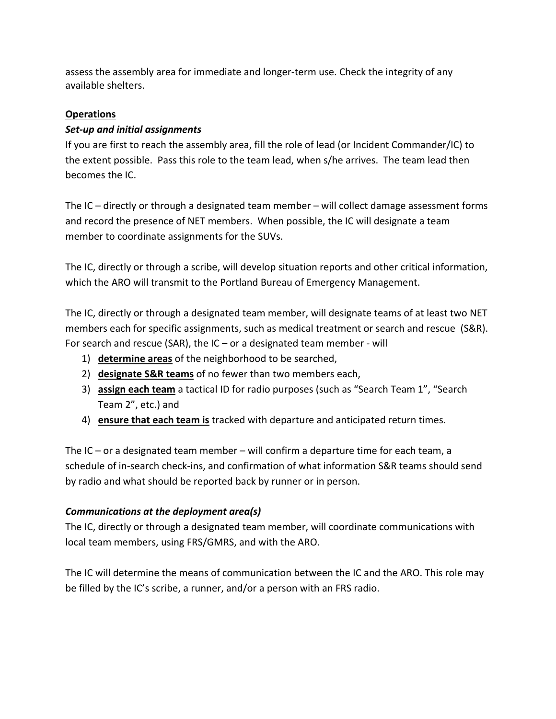assess the assembly area for immediate and longer-term use. Check the integrity of any available shelters.

# **Operations**

# *Set-up and initial assignments*

If you are first to reach the assembly area, fill the role of lead (or Incident Commander/IC) to the extent possible. Pass this role to the team lead, when s/he arrives. The team lead then becomes the IC.

The IC – directly or through a designated team member – will collect damage assessment forms and record the presence of NET members. When possible, the IC will designate a team member to coordinate assignments for the SUVs.

The IC, directly or through a scribe, will develop situation reports and other critical information, which the ARO will transmit to the Portland Bureau of Emergency Management.

The IC, directly or through a designated team member, will designate teams of at least two NET members each for specific assignments, such as medical treatment or search and rescue (S&R). For search and rescue (SAR), the IC – or a designated team member - will

- 1) **determine areas** of the neighborhood to be searched,
- 2) **designate S&R teams** of no fewer than two members each,
- 3) **assign each team** a tactical ID for radio purposes (such as "Search Team 1", "Search Team 2", etc.) and
- 4) **ensure that each team is** tracked with departure and anticipated return times.

The IC – or a designated team member – will confirm a departure time for each team, a schedule of in-search check-ins, and confirmation of what information S&R teams should send by radio and what should be reported back by runner or in person.

## *Communications at the deployment area(s)*

The IC, directly or through a designated team member, will coordinate communications with local team members, using FRS/GMRS, and with the ARO.

The IC will determine the means of communication between the IC and the ARO. This role may be filled by the IC's scribe, a runner, and/or a person with an FRS radio.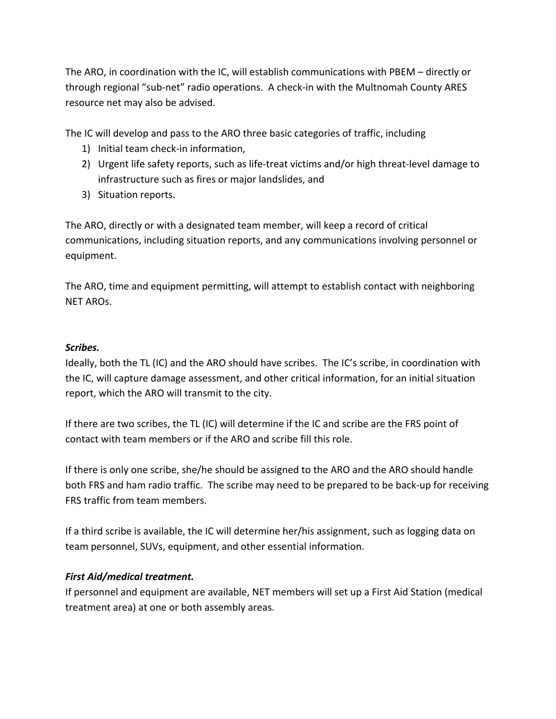The ARO, in coordination with the IC, will establish communications with PBEM – directly or through regional "sub-net" radio operations. A check-in with the Multnomah County ARES resource net may also be advised.

The IC will develop and pass to the ARO three basic categories of traffic, including

- 1) Initial team check-in information,
- 2) Urgent life safety reports, such as life-treat victims and/or high threat-level damage to infrastructure such as fires or major landslides, and
- 3) Situation reports.

The ARO, directly or with a designated team member, will keep a record of critical communications, including situation reports, and any communications involving personnel or equipment.

The ARO, time and equipment permitting, will attempt to establish contact with neighboring NET AROs.

## *Scribes.*

Ideally, both the TL (IC) and the ARO should have scribes. The IC's scribe, in coordination with the IC, will capture damage assessment, and other critical information, for an initial situation report, which the ARO will transmit to the city.

If there are two scribes, the TL (IC) will determine if the IC and scribe are the FRS point of contact with team members or if the ARO and scribe fill this role.

If there is only one scribe, she/he should be assigned to the ARO and the ARO should handle both FRS and ham radio traffic. The scribe may need to be prepared to be back-up for receiving FRS traffic from team members.

If a third scribe is available, the IC will determine her/his assignment, such as logging data on team personnel, SUVs, equipment, and other essential information.

## *First Aid/medical treatment.*

If personnel and equipment are available, NET members will set up a First Aid Station (medical treatment area) at one or both assembly areas.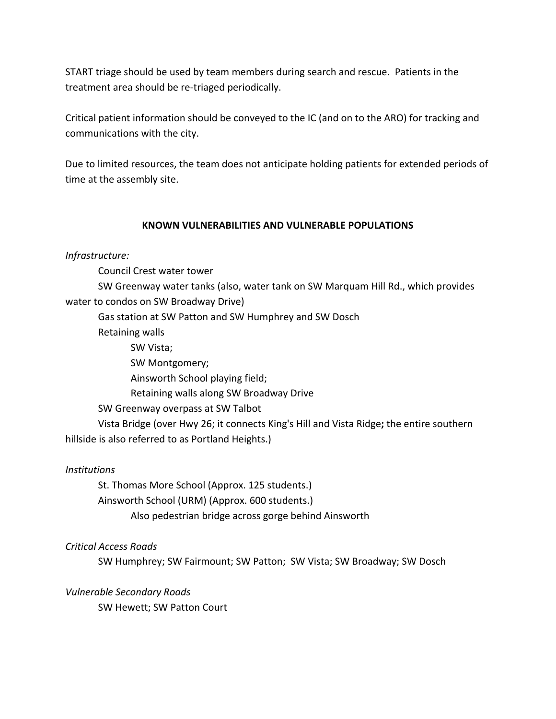START triage should be used by team members during search and rescue. Patients in the treatment area should be re-triaged periodically.

Critical patient information should be conveyed to the IC (and on to the ARO) for tracking and communications with the city.

Due to limited resources, the team does not anticipate holding patients for extended periods of time at the assembly site.

## **KNOWN VULNERABILITIES AND VULNERABLE POPULATIONS**

*Infrastructure:* 

Council Crest water tower

SW Greenway water tanks (also, water tank on SW Marquam Hill Rd., which provides water to condos on SW Broadway Drive)

Gas station at SW Patton and SW Humphrey and SW Dosch

Retaining walls

SW Vista;

SW Montgomery;

Ainsworth School playing field;

Retaining walls along SW Broadway Drive

SW Greenway overpass at SW Talbot

Vista Bridge (over Hwy 26; it connects King's Hill and Vista Ridge**;** the entire southern hillside is also referred to as Portland Heights.)

## *Institutions*

St. Thomas More School (Approx. 125 students.) Ainsworth School (URM) (Approx. 600 students.) Also pedestrian bridge across gorge behind Ainsworth

*Critical Access Roads*

SW Humphrey; SW Fairmount; SW Patton; SW Vista; SW Broadway; SW Dosch

*Vulnerable Secondary Roads*

SW Hewett; SW Patton Court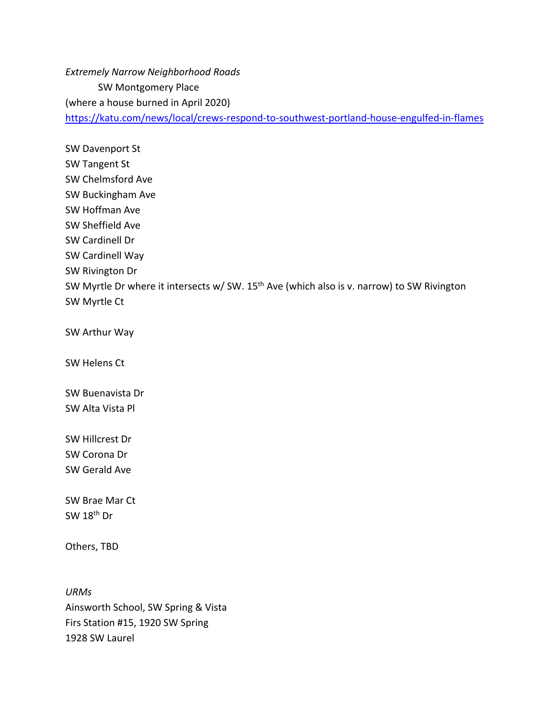*Extremely Narrow Neighborhood Roads* SW Montgomery Place (where a house burned in April 2020) https://katu.com/news/local/crews-respond-to-southwest-portland-house-engulfed-in-flames

SW Davenport St SW Tangent St SW Chelmsford Ave SW Buckingham Ave SW Hoffman Ave SW Sheffield Ave SW Cardinell Dr SW Cardinell Way SW Rivington Dr SW Myrtle Dr where it intersects w/ SW. 15<sup>th</sup> Ave (which also is v. narrow) to SW Rivington SW Myrtle Ct

SW Arthur Way

SW Helens Ct

SW Buenavista Dr SW Alta Vista Pl

SW Hillcrest Dr SW Corona Dr SW Gerald Ave

SW Brae Mar Ct SW  $18<sup>th</sup>$  Dr

Others, TBD

*URMs* Ainsworth School, SW Spring & Vista Firs Station #15, 1920 SW Spring 1928 SW Laurel